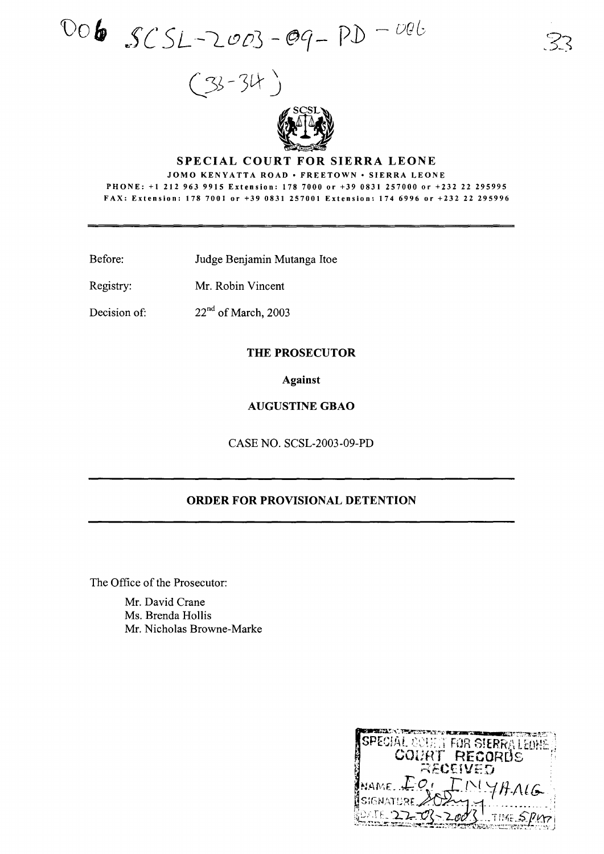$DOB$   $SCSL-2003 - Oq - PD - OQb$ 





## **SPECIAL COURT FOR SIERRA LEONE**

JOMO KENYATTA ROAD · FREETOWN · SIERRA LEONE PHONE: +1212 963 9915 Extension: 178 7000 or +39 0831257000 or +232 22 295995 FAX: Extension: 178 7001 or +39 0831257001 Extension: 174 6996 or +232 22 295996

- Before: Judge Benjamin Mutanga Itoe
- Registry: Mr. Robin Vincent

Decision of:  $22<sup>nd</sup>$  of March, 2003

### **THE PROSECUTOR**

**Against**

# **AUGUSTINE GBAO**

CASE NO. SCSL-2003-09-PD

# **ORDER FOR PROVISIONAL DETENTION**

The Office of the Prosecutor:

Mr. David Crane Ms. Brenda Hollis Mr. Nicholas Browne-Marke